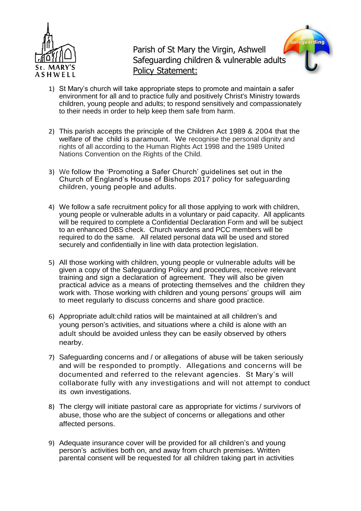

Parish of St Mary the Virgin, Ashwell Safeguarding children & vulnerable adults Policy Statement:



- 1) St Mary's church will take appropriate steps to promote and maintain a safer environment for all and to practice fully and positively Christ's Ministry towards children, young people and adults; to respond sensitively and compassionately to their needs in order to help keep them safe from harm.
- 2) This parish accepts the principle of the Children Act 1989 & 2004 that the welfare of the child is paramount. We recognise the personal dignity and rights of all according to the Human Rights Act 1998 and the 1989 United Nations Convention on the Rights of the Child.
- 3) We follow the 'Promoting a Safer Church' guidelines set out in the Church of England's House of Bishops 2017 policy for safeguarding children, young people and adults.
- 4) We follow a safe recruitment policy for all those applying to work with children, young people or vulnerable adults in a voluntary or paid capacity. All applicants will be required to complete a Confidential Declaration Form and will be subject to an enhanced DBS check. Church wardens and PCC members will be required to do the same. All related personal data will be used and stored securely and confidentially in line with data protection legislation.
- 5) All those working with children, young people or vulnerable adults will be given a copy of the Safeguarding Policy and procedures, receive relevant training and sign a declaration of agreement. They will also be given practical advice as a means of protecting themselves and the children they work with. Those working with children and young persons' groups will aim to meet regularly to discuss concerns and share good practice.
- 6) Appropriate adult:child ratios will be maintained at all children's and young person's activities, and situations where a child is alone with an adult should be avoided unless they can be easily observed by others nearby.
- 7) Safeguarding concerns and / or allegations of abuse will be taken seriously and will be responded to promptly. Allegations and concerns will be documented and referred to the relevant agencies. St Mary's will collaborate fully with any investigations and will not attempt to conduct its own investigations.
- 8) The clergy will initiate pastoral care as appropriate for victims / survivors of abuse, those who are the subject of concerns or allegations and other affected persons.
- 9) Adequate insurance cover will be provided for all children's and young person's activities both on, and away from church premises. Written parental consent will be requested for all children taking part in activities